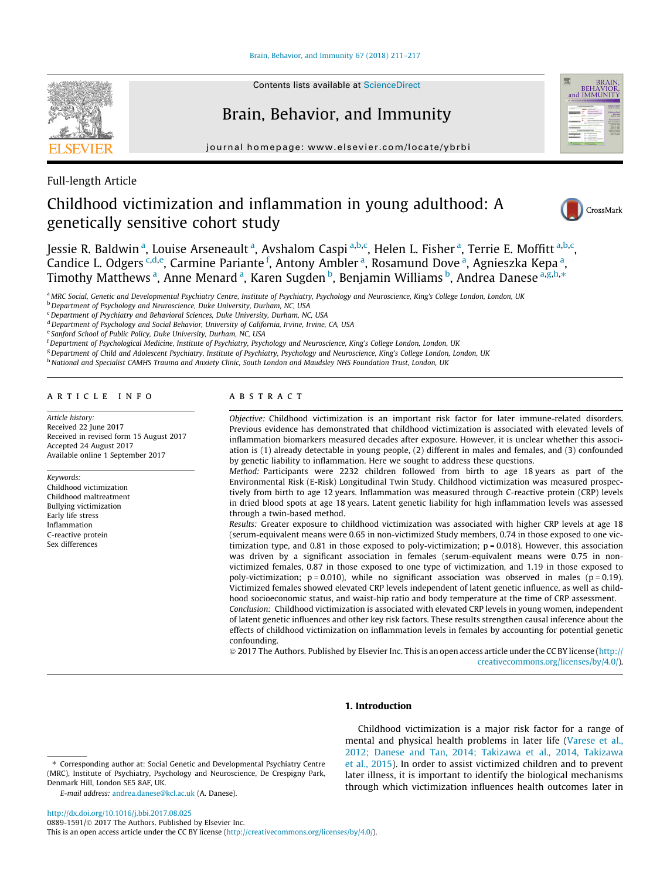[Brain, Behavior, and Immunity 67 \(2018\) 211–217](http://dx.doi.org/10.1016/j.bbi.2017.08.025)



# Brain, Behavior, and Immunity

journal homepage: [www.elsevier.com/locate/ybrbi](http://www.elsevier.com/locate/ybrbi)



Full-length Article

# Childhood victimization and inflammation in young adulthood: A genetically sensitive cohort study



Jessie R. Baldwin <sup>a</sup>, Louise Arseneault <sup>a</sup>, Avshalom Caspi <sup>a,b,c</sup>, Helen L. Fisher <sup>a</sup>, Terrie E. Moffitt <sup>a,b,c</sup>, Candice L. Odgers <sup>c,d,e</sup>, Carmine Pariante <sup>f</sup>, Antony Ambler <sup>a</sup>, Rosamund Dove <sup>a</sup>, Agnieszka Kepa <sup>a</sup>, Timothy Matthews <sup>a</sup>, Anne Menard <sup>a</sup>, Karen Sugden <sup>b</sup>, Benjamin Williams <sup>b</sup>, Andrea Danese <sup>a,g,h,</sup>\*

a MRC Social, Genetic and Developmental Psychiatry Centre, Institute of Psychiatry, Psychology and Neuroscience, King's College London, London, UK

b Department of Psychology and Neuroscience, Duke University, Durham, NC, USA

 $c$ Department of Psychiatry and Behavioral Sciences, Duke University, Durham, NC, USA

<sup>d</sup> Department of Psychology and Social Behavior, University of California, Irvine, Irvine, CA, USA

<sup>e</sup> Sanford School of Public Policy, Duke University, Durham, NC, USA

<sup>f</sup> Department of Psychological Medicine, Institute of Psychiatry, Psychology and Neuroscience, King's College London, London, UK

<sup>g</sup> Department of Child and Adolescent Psychiatry, Institute of Psychiatry, Psychology and Neuroscience, King's College London, London, UK

h National and Specialist CAMHS Trauma and Anxiety Clinic, South London and Maudsley NHS Foundation Trust, London, UK

# article info

Article history: Received 22 June 2017 Received in revised form 15 August 2017 Accepted 24 August 2017 Available online 1 September 2017

Keywords: Childhood victimization Childhood maltreatment Bullying victimization Early life stress Inflammation C-reactive protein Sex differences

# **ABSTRACT**

Objective: Childhood victimization is an important risk factor for later immune-related disorders. Previous evidence has demonstrated that childhood victimization is associated with elevated levels of inflammation biomarkers measured decades after exposure. However, it is unclear whether this association is (1) already detectable in young people, (2) different in males and females, and (3) confounded by genetic liability to inflammation. Here we sought to address these questions.

Method: Participants were 2232 children followed from birth to age 18 years as part of the Environmental Risk (E-Risk) Longitudinal Twin Study. Childhood victimization was measured prospectively from birth to age 12 years. Inflammation was measured through C-reactive protein (CRP) levels in dried blood spots at age 18 years. Latent genetic liability for high inflammation levels was assessed through a twin-based method.

Results: Greater exposure to childhood victimization was associated with higher CRP levels at age 18 (serum-equivalent means were 0.65 in non-victimized Study members, 0.74 in those exposed to one victimization type, and 0.81 in those exposed to poly-victimization;  $p = 0.018$ ). However, this association was driven by a significant association in females (serum-equivalent means were 0.75 in nonvictimized females, 0.87 in those exposed to one type of victimization, and 1.19 in those exposed to poly-victimization;  $p = 0.010$ ), while no significant association was observed in males ( $p = 0.19$ ). Victimized females showed elevated CRP levels independent of latent genetic influence, as well as childhood socioeconomic status, and waist-hip ratio and body temperature at the time of CRP assessment. Conclusion: Childhood victimization is associated with elevated CRP levels in young women, independent of latent genetic influences and other key risk factors. These results strengthen causal inference about the

effects of childhood victimization on inflammation levels in females by accounting for potential genetic confounding.

 2017 The Authors. Published by Elsevier Inc. This is an open access article under the CC BY license ([http://](http://creativecommons.org/licenses/by/4.0/) [creativecommons.org/licenses/by/4.0/](http://creativecommons.org/licenses/by/4.0/)).

### 1. Introduction

E-mail address: [andrea.danese@kcl.ac.uk](mailto:andrea.danese@kcl.ac.uk) (A. Danese).

Childhood victimization is a major risk factor for a range of mental and physical health problems in later life [\(Varese et al.,](#page-6-0) [2012; Danese and Tan, 2014; Takizawa et al., 2014, Takizawa](#page-6-0) [et al., 2015](#page-6-0)). In order to assist victimized children and to prevent later illness, it is important to identify the biological mechanisms through which victimization influences health outcomes later in

<sup>⇑</sup> Corresponding author at: Social Genetic and Developmental Psychiatry Centre (MRC), Institute of Psychiatry, Psychology and Neuroscience, De Crespigny Park, Denmark Hill, London SE5 8AF, UK.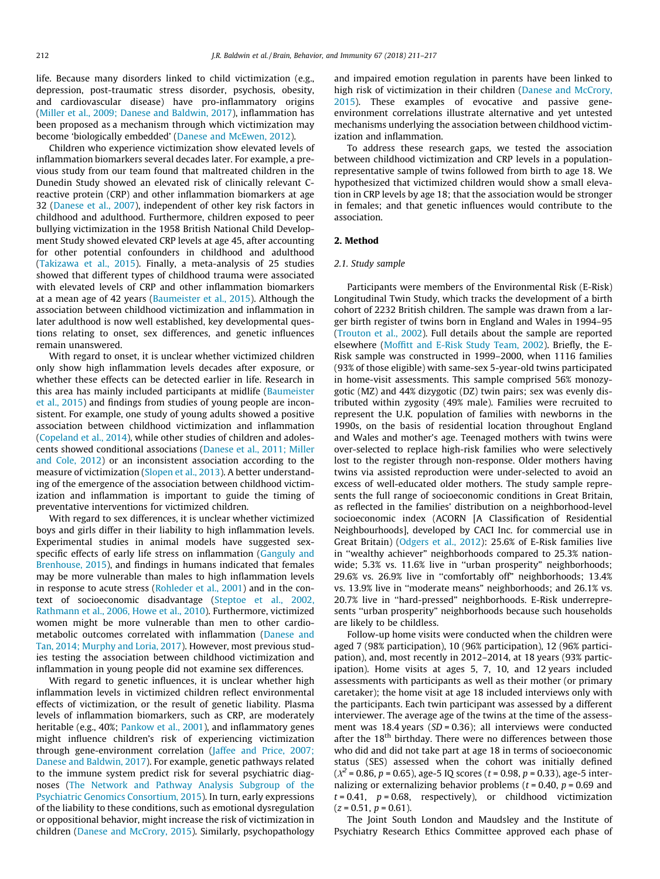life. Because many disorders linked to child victimization (e.g., depression, post-traumatic stress disorder, psychosis, obesity, and cardiovascular disease) have pro-inflammatory origins ([Miller et al., 2009; Danese and Baldwin, 2017\)](#page-6-0), inflammation has been proposed as a mechanism through which victimization may become 'biologically embedded' ([Danese and McEwen, 2012](#page-6-0)).

Children who experience victimization show elevated levels of inflammation biomarkers several decades later. For example, a previous study from our team found that maltreated children in the Dunedin Study showed an elevated risk of clinically relevant Creactive protein (CRP) and other inflammation biomarkers at age 32 [\(Danese et al., 2007\)](#page-6-0), independent of other key risk factors in childhood and adulthood. Furthermore, children exposed to peer bullying victimization in the 1958 British National Child Development Study showed elevated CRP levels at age 45, after accounting for other potential confounders in childhood and adulthood ([Takizawa et al., 2015](#page-6-0)). Finally, a meta-analysis of 25 studies showed that different types of childhood trauma were associated with elevated levels of CRP and other inflammation biomarkers at a mean age of 42 years [\(Baumeister et al., 2015](#page-5-0)). Although the association between childhood victimization and inflammation in later adulthood is now well established, key developmental questions relating to onset, sex differences, and genetic influences remain unanswered.

With regard to onset, it is unclear whether victimized children only show high inflammation levels decades after exposure, or whether these effects can be detected earlier in life. Research in this area has mainly included participants at midlife [\(Baumeister](#page-5-0) [et al., 2015\)](#page-5-0) and findings from studies of young people are inconsistent. For example, one study of young adults showed a positive association between childhood victimization and inflammation ([Copeland et al., 2014\)](#page-5-0), while other studies of children and adolescents showed conditional associations ([Danese et al., 2011; Miller](#page-6-0) [and Cole, 2012\)](#page-6-0) or an inconsistent association according to the measure of victimization ([Slopen et al., 2013\)](#page-6-0). A better understanding of the emergence of the association between childhood victimization and inflammation is important to guide the timing of preventative interventions for victimized children.

With regard to sex differences, it is unclear whether victimized boys and girls differ in their liability to high inflammation levels. Experimental studies in animal models have suggested sex-specific effects of early life stress on inflammation [\(Ganguly and](#page-6-0) [Brenhouse, 2015](#page-6-0)), and findings in humans indicated that females may be more vulnerable than males to high inflammation levels in response to acute stress [\(Rohleder et al., 2001](#page-6-0)) and in the context of socioeconomic disadvantage ([Steptoe et al., 2002,](#page-6-0) [Rathmann et al., 2006, Howe et al., 2010](#page-6-0)). Furthermore, victimized women might be more vulnerable than men to other cardiometabolic outcomes correlated with inflammation [\(Danese and](#page-6-0) [Tan, 2014; Murphy and Loria, 2017\)](#page-6-0). However, most previous studies testing the association between childhood victimization and inflammation in young people did not examine sex differences.

With regard to genetic influences, it is unclear whether high inflammation levels in victimized children reflect environmental effects of victimization, or the result of genetic liability. Plasma levels of inflammation biomarkers, such as CRP, are moderately heritable (e.g., 40%; [Pankow et al., 2001\)](#page-6-0), and inflammatory genes might influence children's risk of experiencing victimization through gene-environment correlation ([Jaffee and Price, 2007;](#page-6-0) [Danese and Baldwin, 2017\)](#page-6-0). For example, genetic pathways related to the immune system predict risk for several psychiatric diagnoses ([The Network and Pathway Analysis Subgroup of the](#page-6-0) [Psychiatric Genomics Consortium, 2015](#page-6-0)). In turn, early expressions of the liability to these conditions, such as emotional dysregulation or oppositional behavior, might increase the risk of victimization in children ([Danese and McCrory, 2015](#page-6-0)). Similarly, psychopathology

and impaired emotion regulation in parents have been linked to high risk of victimization in their children [\(Danese and McCrory,](#page-6-0) [2015\)](#page-6-0). These examples of evocative and passive geneenvironment correlations illustrate alternative and yet untested mechanisms underlying the association between childhood victimization and inflammation.

To address these research gaps, we tested the association between childhood victimization and CRP levels in a populationrepresentative sample of twins followed from birth to age 18. We hypothesized that victimized children would show a small elevation in CRP levels by age 18; that the association would be stronger in females; and that genetic influences would contribute to the association.

# 2. Method

## 2.1. Study sample

Participants were members of the Environmental Risk (E-Risk) Longitudinal Twin Study, which tracks the development of a birth cohort of 2232 British children. The sample was drawn from a larger birth register of twins born in England and Wales in 1994–95 ([Trouton et al., 2002](#page-6-0)). Full details about the sample are reported elsewhere ([Moffitt and E-Risk Study Team, 2002\)](#page-6-0). Briefly, the E-Risk sample was constructed in 1999–2000, when 1116 families (93% of those eligible) with same-sex 5-year-old twins participated in home-visit assessments. This sample comprised 56% monozygotic (MZ) and 44% dizygotic (DZ) twin pairs; sex was evenly distributed within zygosity (49% male). Families were recruited to represent the U.K. population of families with newborns in the 1990s, on the basis of residential location throughout England and Wales and mother's age. Teenaged mothers with twins were over-selected to replace high-risk families who were selectively lost to the register through non-response. Older mothers having twins via assisted reproduction were under-selected to avoid an excess of well-educated older mothers. The study sample represents the full range of socioeconomic conditions in Great Britain, as reflected in the families' distribution on a neighborhood-level socioeconomic index (ACORN [A Classification of Residential Neighbourhoods], developed by CACI Inc. for commercial use in Great Britain) ([Odgers et al., 2012](#page-6-0)): 25.6% of E-Risk families live in ''wealthy achiever" neighborhoods compared to 25.3% nationwide; 5.3% vs. 11.6% live in ''urban prosperity" neighborhoods; 29.6% vs. 26.9% live in ''comfortably off" neighborhoods; 13.4% vs. 13.9% live in ''moderate means" neighborhoods; and 26.1% vs. 20.7% live in ''hard-pressed" neighborhoods. E-Risk underrepresents ''urban prosperity" neighborhoods because such households are likely to be childless.

Follow-up home visits were conducted when the children were aged 7 (98% participation), 10 (96% participation), 12 (96% participation), and, most recently in 2012–2014, at 18 years (93% participation). Home visits at ages 5, 7, 10, and 12 years included assessments with participants as well as their mother (or primary caretaker); the home visit at age 18 included interviews only with the participants. Each twin participant was assessed by a different interviewer. The average age of the twins at the time of the assessment was 18.4 years ( $SD = 0.36$ ); all interviews were conducted after the  $18<sup>th</sup>$  birthday. There were no differences between those who did and did not take part at age 18 in terms of socioeconomic status (SES) assessed when the cohort was initially defined  $(X^2 = 0.86, p = 0.65)$ , age-5 IQ scores (t = 0.98, p = 0.33), age-5 internalizing or externalizing behavior problems ( $t = 0.40$ ,  $p = 0.69$  and  $t = 0.41$ ,  $p = 0.68$ , respectively), or childhood victimization  $(z = 0.51, p = 0.61)$ .

The Joint South London and Maudsley and the Institute of Psychiatry Research Ethics Committee approved each phase of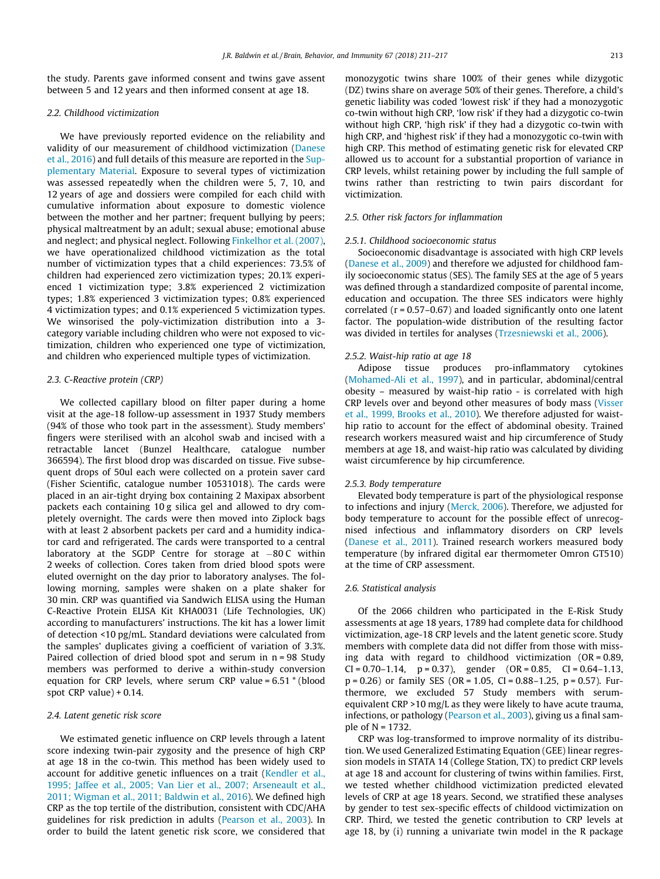the study. Parents gave informed consent and twins gave assent between 5 and 12 years and then informed consent at age 18.

#### 2.2. Childhood victimization

We have previously reported evidence on the reliability and validity of our measurement of childhood victimization [\(Danese](#page-6-0) [et al., 2016](#page-6-0)) and full details of this measure are reported in the Supplementary Material. Exposure to several types of victimization was assessed repeatedly when the children were 5, 7, 10, and 12 years of age and dossiers were compiled for each child with cumulative information about exposure to domestic violence between the mother and her partner; frequent bullying by peers; physical maltreatment by an adult; sexual abuse; emotional abuse and neglect; and physical neglect. Following [Finkelhor et al. \(2007\),](#page-6-0) we have operationalized childhood victimization as the total number of victimization types that a child experiences: 73.5% of children had experienced zero victimization types; 20.1% experienced 1 victimization type; 3.8% experienced 2 victimization types; 1.8% experienced 3 victimization types; 0.8% experienced 4 victimization types; and 0.1% experienced 5 victimization types. We winsorised the poly-victimization distribution into a 3 category variable including children who were not exposed to victimization, children who experienced one type of victimization, and children who experienced multiple types of victimization.

### 2.3. C-Reactive protein (CRP)

We collected capillary blood on filter paper during a home visit at the age-18 follow-up assessment in 1937 Study members (94% of those who took part in the assessment). Study members' fingers were sterilised with an alcohol swab and incised with a retractable lancet (Bunzel Healthcare, catalogue number 366594). The first blood drop was discarded on tissue. Five subsequent drops of 50ul each were collected on a protein saver card (Fisher Scientific, catalogue number 10531018). The cards were placed in an air-tight drying box containing 2 Maxipax absorbent packets each containing 10 g silica gel and allowed to dry completely overnight. The cards were then moved into Ziplock bags with at least 2 absorbent packets per card and a humidity indicator card and refrigerated. The cards were transported to a central laboratory at the SGDP Centre for storage at  $-80$  C within 2 weeks of collection. Cores taken from dried blood spots were eluted overnight on the day prior to laboratory analyses. The following morning, samples were shaken on a plate shaker for 30 min. CRP was quantified via Sandwich ELISA using the Human C-Reactive Protein ELISA Kit KHA0031 (Life Technologies, UK) according to manufacturers' instructions. The kit has a lower limit of detection <10 pg/mL. Standard deviations were calculated from the samples' duplicates giving a coefficient of variation of 3.3%. Paired collection of dried blood spot and serum in n = 98 Study members was performed to derive a within-study conversion equation for CRP levels, where serum CRP value = 6.51 \* (blood spot CRP value) + 0.14.

### 2.4. Latent genetic risk score

We estimated genetic influence on CRP levels through a latent score indexing twin-pair zygosity and the presence of high CRP at age 18 in the co-twin. This method has been widely used to account for additive genetic influences on a trait ([Kendler et al.,](#page-6-0) [1995; Jaffee et al., 2005; Van Lier et al., 2007; Arseneault et al.,](#page-6-0) [2011; Wigman et al., 2011; Baldwin et al., 2016\)](#page-6-0). We defined high CRP as the top tertile of the distribution, consistent with CDC/AHA guidelines for risk prediction in adults [\(Pearson et al., 2003\)](#page-6-0). In order to build the latent genetic risk score, we considered that

monozygotic twins share 100% of their genes while dizygotic (DZ) twins share on average 50% of their genes. Therefore, a child's genetic liability was coded 'lowest risk' if they had a monozygotic co-twin without high CRP, 'low risk' if they had a dizygotic co-twin without high CRP, 'high risk' if they had a dizygotic co-twin with high CRP, and 'highest risk' if they had a monozygotic co-twin with high CRP. This method of estimating genetic risk for elevated CRP allowed us to account for a substantial proportion of variance in CRP levels, whilst retaining power by including the full sample of twins rather than restricting to twin pairs discordant for victimization.

# 2.5. Other risk factors for inflammation

#### 2.5.1. Childhood socioeconomic status

Socioeconomic disadvantage is associated with high CRP levels ([Danese et al., 2009](#page-6-0)) and therefore we adjusted for childhood family socioeconomic status (SES). The family SES at the age of 5 years was defined through a standardized composite of parental income, education and occupation. The three SES indicators were highly correlated  $(r = 0.57 - 0.67)$  and loaded significantly onto one latent factor. The population-wide distribution of the resulting factor was divided in tertiles for analyses [\(Trzesniewski et al., 2006](#page-6-0)).

#### 2.5.2. Waist-hip ratio at age 18

Adipose tissue produces pro-inflammatory cytokines ([Mohamed-Ali et al., 1997\)](#page-6-0), and in particular, abdominal/central obesity – measured by waist-hip ratio - is correlated with high CRP levels over and beyond other measures of body mass ([Visser](#page-6-0) [et al., 1999, Brooks et al., 2010](#page-6-0)). We therefore adjusted for waisthip ratio to account for the effect of abdominal obesity. Trained research workers measured waist and hip circumference of Study members at age 18, and waist-hip ratio was calculated by dividing waist circumference by hip circumference.

## 2.5.3. Body temperature

Elevated body temperature is part of the physiological response to infections and injury [\(Merck, 2006](#page-6-0)). Therefore, we adjusted for body temperature to account for the possible effect of unrecognised infectious and inflammatory disorders on CRP levels ([Danese et al., 2011\)](#page-6-0). Trained research workers measured body temperature (by infrared digital ear thermometer Omron GT510) at the time of CRP assessment.

## 2.6. Statistical analysis

Of the 2066 children who participated in the E-Risk Study assessments at age 18 years, 1789 had complete data for childhood victimization, age-18 CRP levels and the latent genetic score. Study members with complete data did not differ from those with missing data with regard to childhood victimization (OR = 0.89,  $CI = 0.70 - 1.14$ ,  $p = 0.37$ ), gender  $(OR = 0.85, CI = 0.64 - 1.13)$  $p = 0.26$ ) or family SES (OR = 1.05, CI = 0.88-1.25, p = 0.57). Furthermore, we excluded 57 Study members with serumequivalent CRP >10 mg/L as they were likely to have acute trauma, infections, or pathology ([Pearson et al., 2003\)](#page-6-0), giving us a final sample of N = 1732.

CRP was log-transformed to improve normality of its distribution. We used Generalized Estimating Equation (GEE) linear regression models in STATA 14 (College Station, TX) to predict CRP levels at age 18 and account for clustering of twins within families. First, we tested whether childhood victimization predicted elevated levels of CRP at age 18 years. Second, we stratified these analyses by gender to test sex-specific effects of childood victimization on CRP. Third, we tested the genetic contribution to CRP levels at age 18, by (i) running a univariate twin model in the R package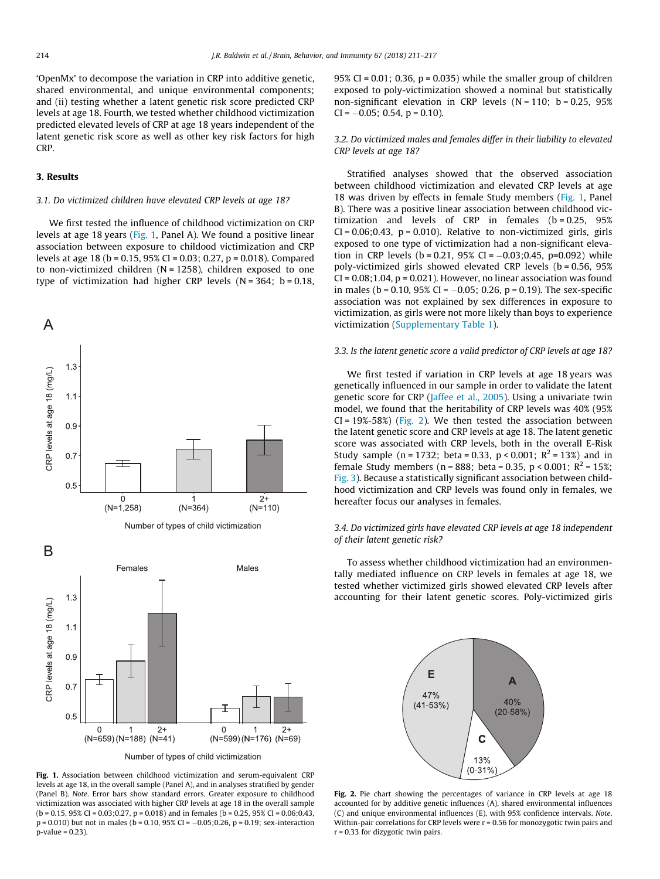'OpenMx' to decompose the variation in CRP into additive genetic, shared environmental, and unique environmental components; and (ii) testing whether a latent genetic risk score predicted CRP levels at age 18. Fourth, we tested whether childhood victimization predicted elevated levels of CRP at age 18 years independent of the latent genetic risk score as well as other key risk factors for high CRP.

# 3. Results

#### 3.1. Do victimized children have elevated CRP levels at age 18?

We first tested the influence of childhood victimization on CRP levels at age 18 years (Fig. 1, Panel A). We found a positive linear association between exposure to childood victimization and CRP levels at age 18 (b = 0.15, 95% CI = 0.03; 0.27, p = 0.018). Compared to non-victimized children  $(N = 1258)$ , children exposed to one type of victimization had higher CRP levels ( $N = 364$ ; b = 0.18,



Fig. 1. Association between childhood victimization and serum-equivalent CRP levels at age 18, in the overall sample (Panel A), and in analyses stratified by gender (Panel B). Note. Error bars show standard errors. Greater exposure to childhood victimization was associated with higher CRP levels at age 18 in the overall sample  $(b = 0.15, 95\%$  CI = 0.03;0.27, p = 0.018) and in females (b = 0.25, 95% CI = 0.06;0.43,  $p = 0.010$ ) but not in males (b = 0.10, 95% CI = -0.05;0.26, p = 0.19; sex-interaction  $p$ -value = 0.23).

95% CI = 0.01; 0.36,  $p = 0.035$ ) while the smaller group of children exposed to poly-victimization showed a nominal but statistically non-significant elevation in CRP levels  $(N = 110; b = 0.25, 95%$  $CI = -0.05$ ; 0.54, p = 0.10).

# 3.2. Do victimized males and females differ in their liability to elevated CRP levels at age 18?

Stratified analyses showed that the observed association between childhood victimization and elevated CRP levels at age 18 was driven by effects in female Study members (Fig. 1, Panel B). There was a positive linear association between childhood victimization and levels of  $CRP$  in females ( $b = 0.25$ ,  $95\%$  $CI = 0.06; 0.43$ ,  $p = 0.010$ ). Relative to non-victimized girls, girls exposed to one type of victimization had a non-significant elevation in CRP levels ( $b = 0.21$ , 95% CI = -0.03:0.45, p=0.092) while poly-victimized girls showed elevated CRP levels (b = 0.56, 95%  $CI = 0.08; 1.04$ ,  $p = 0.021$ ). However, no linear association was found in males ( $b = 0.10$ , 95% CI =  $-0.05$ ; 0.26, p = 0.19). The sex-specific association was not explained by sex differences in exposure to victimization, as girls were not more likely than boys to experience victimization (Supplementary Table 1).

#### 3.3. Is the latent genetic score a valid predictor of CRP levels at age 18?

We first tested if variation in CRP levels at age 18 years was genetically influenced in our sample in order to validate the latent genetic score for CRP ([Jaffee et al., 2005\)](#page-6-0). Using a univariate twin model, we found that the heritability of CRP levels was 40% (95%  $CI = 19\% - 58\%$ ) (Fig. 2). We then tested the association between the latent genetic score and CRP levels at age 18. The latent genetic score was associated with CRP levels, both in the overall E-Risk Study sample (n = 1732; beta = 0.33, p < 0.001;  $R^2$  = 13%) and in female Study members (n = 888; beta = 0.35, p < 0.001;  $R^2$  = 15%; [Fig. 3](#page-4-0)). Because a statistically significant association between childhood victimization and CRP levels was found only in females, we hereafter focus our analyses in females.

# 3.4. Do victimized girls have elevated CRP levels at age 18 independent of their latent genetic risk?

To assess whether childhood victimization had an environmentally mediated influence on CRP levels in females at age 18, we tested whether victimized girls showed elevated CRP levels after accounting for their latent genetic scores. Poly-victimized girls



Fig. 2. Pie chart showing the percentages of variance in CRP levels at age 18 accounted for by additive genetic influences (A), shared environmental influences (C) and unique environmental influences (E), with 95% confidence intervals. Note. Within-pair correlations for CRP levels were r = 0.56 for monozygotic twin pairs and r = 0.33 for dizygotic twin pairs.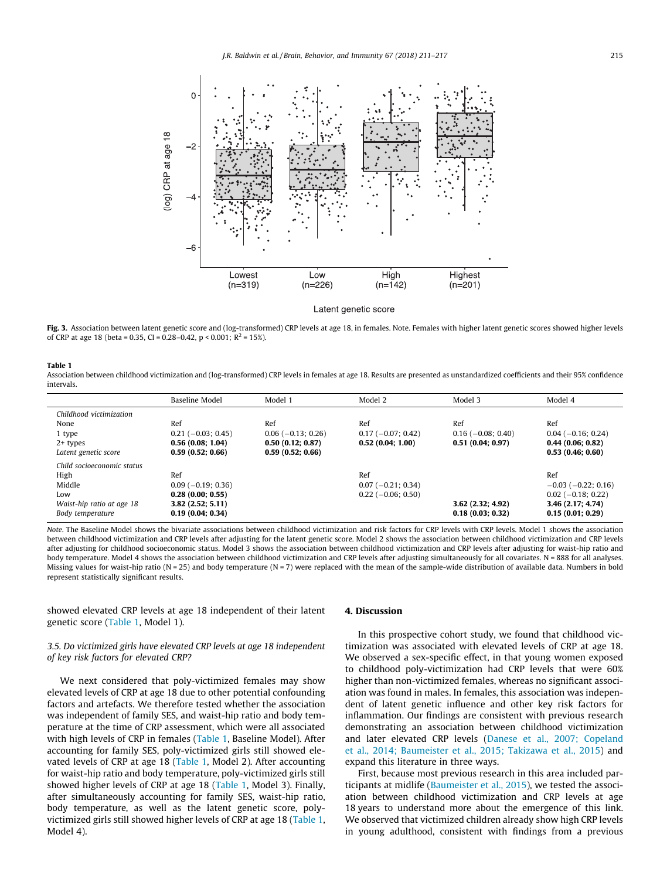<span id="page-4-0"></span>

Latent genetic score

Fig. 3. Association between latent genetic score and (log-transformed) CRP levels at age 18, in females. Note. Females with higher latent genetic scores showed higher levels of CRP at age 18 (beta = 0.35, CI = 0.28–0.42, p < 0.001;  $R^2$  = 15%).

## Table 1

Association between childhood victimization and (log-transformed) CRP levels in females at age 18. Results are presented as unstandardized coefficients and their 95% confidence intervals.

|                            | <b>Baseline Model</b> | Model 1              | Model 2              | Model 3             | Model 4                   |
|----------------------------|-----------------------|----------------------|----------------------|---------------------|---------------------------|
| Childhood victimization    |                       |                      |                      |                     |                           |
| None                       | Ref                   | Ref                  | Ref                  | Ref                 | Ref                       |
| 1 type                     | $0.21$ (-0.03; 0.45)  | $0.06$ (-0.13; 0.26) | $0.17(-0.07; 0.42)$  | $0.16(-0.08; 0.40)$ | $0.04 (-0.16; 0.24)$      |
| $2+$ types                 | 0.56(0.08; 1.04)      | 0.50(0.12; 0.87)     | 0.52(0.04; 1.00)     | 0.51(0.04; 0.97)    | 0.44(0.06; 0.82)          |
| Latent genetic score       | 0.59(0.52; 0.66)      | 0.59(0.52; 0.66)     |                      |                     | 0.53(0.46; 0.60)          |
| Child socioeconomic status |                       |                      |                      |                     |                           |
| High                       | Ref                   |                      | Ref                  |                     | Ref                       |
| Middle                     | $0.09$ (-0.19; 0.36)  |                      | $0.07 (-0.21; 0.34)$ |                     | $-0.03$ ( $-0.22$ ; 0.16) |
| Low                        | 0.28(0.00; 0.55)      |                      | $0.22$ (-0.06; 0.50) |                     | $0.02$ (-0.18; 0.22)      |
| Waist-hip ratio at age 18  | 3.82(2.52; 5.11)      |                      |                      | 3.62(2.32; 4.92)    | 3.46 (2.17; 4.74)         |
| Body temperature           | 0.19(0.04; 0.34)      |                      |                      | 0.18(0.03; 0.32)    | 0.15(0.01; 0.29)          |

Note. The Baseline Model shows the bivariate associations between childhood victimization and risk factors for CRP levels with CRP levels. Model 1 shows the association between childhood victimization and CRP levels after adjusting for the latent genetic score. Model 2 shows the association between childhood victimization and CRP levels after adjusting for childhood socioeconomic status. Model 3 shows the association between childhood victimization and CRP levels after adjusting for waist-hip ratio and body temperature. Model 4 shows the association between childhood victimization and CRP levels after adjusting simultaneously for all covariates. N = 888 for all analyses. Missing values for waist-hip ratio (N = 25) and body temperature (N = 7) were replaced with the mean of the sample-wide distribution of available data. Numbers in bold represent statistically significant results.

showed elevated CRP levels at age 18 independent of their latent genetic score (Table 1, Model 1).

# 3.5. Do victimized girls have elevated CRP levels at age 18 independent of key risk factors for elevated CRP?

We next considered that poly-victimized females may show elevated levels of CRP at age 18 due to other potential confounding factors and artefacts. We therefore tested whether the association was independent of family SES, and waist-hip ratio and body temperature at the time of CRP assessment, which were all associated with high levels of CRP in females (Table 1, Baseline Model). After accounting for family SES, poly-victimized girls still showed elevated levels of CRP at age 18 (Table 1, Model 2). After accounting for waist-hip ratio and body temperature, poly-victimized girls still showed higher levels of CRP at age 18 (Table 1, Model 3). Finally, after simultaneously accounting for family SES, waist-hip ratio, body temperature, as well as the latent genetic score, polyvictimized girls still showed higher levels of CRP at age 18 (Table 1, Model 4).

#### 4. Discussion

In this prospective cohort study, we found that childhood victimization was associated with elevated levels of CRP at age 18. We observed a sex-specific effect, in that young women exposed to childhood poly-victimization had CRP levels that were 60% higher than non-victimized females, whereas no significant association was found in males. In females, this association was independent of latent genetic influence and other key risk factors for inflammation. Our findings are consistent with previous research demonstrating an association between childhood victimization and later elevated CRP levels ([Danese et al., 2007; Copeland](#page-6-0) [et al., 2014; Baumeister et al., 2015; Takizawa et al., 2015\)](#page-6-0) and expand this literature in three ways.

First, because most previous research in this area included participants at midlife ([Baumeister et al., 2015](#page-5-0)), we tested the association between childhood victimization and CRP levels at age 18 years to understand more about the emergence of this link. We observed that victimized children already show high CRP levels in young adulthood, consistent with findings from a previous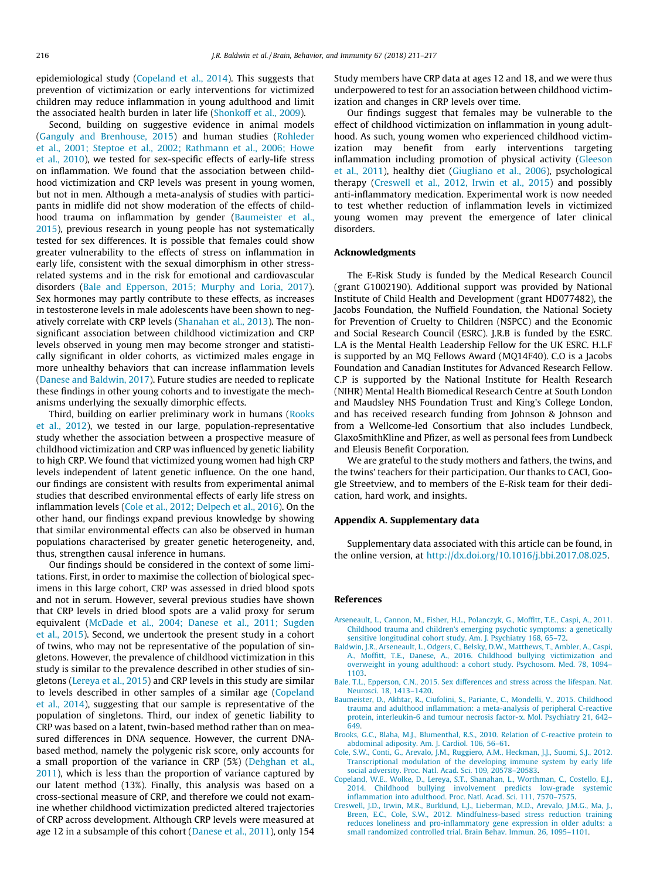<span id="page-5-0"></span>epidemiological study (Copeland et al., 2014). This suggests that prevention of victimization or early interventions for victimized children may reduce inflammation in young adulthood and limit the associated health burden in later life [\(Shonkoff et al., 2009](#page-6-0)).

Second, building on suggestive evidence in animal models ([Ganguly and Brenhouse, 2015\)](#page-6-0) and human studies [\(Rohleder](#page-6-0) [et al., 2001; Steptoe et al., 2002; Rathmann et al., 2006; Howe](#page-6-0) [et al., 2010](#page-6-0)), we tested for sex-specific effects of early-life stress on inflammation. We found that the association between childhood victimization and CRP levels was present in young women, but not in men. Although a meta-analysis of studies with participants in midlife did not show moderation of the effects of childhood trauma on inflammation by gender (Baumeister et al., 2015), previous research in young people has not systematically tested for sex differences. It is possible that females could show greater vulnerability to the effects of stress on inflammation in early life, consistent with the sexual dimorphism in other stressrelated systems and in the risk for emotional and cardiovascular disorders (Bale and Epperson, 2015; Murphy and Loria, 2017). Sex hormones may partly contribute to these effects, as increases in testosterone levels in male adolescents have been shown to negatively correlate with CRP levels ([Shanahan et al., 2013](#page-6-0)). The nonsignificant association between childhood victimization and CRP levels observed in young men may become stronger and statistically significant in older cohorts, as victimized males engage in more unhealthy behaviors that can increase inflammation levels ([Danese and Baldwin, 2017](#page-6-0)). Future studies are needed to replicate these findings in other young cohorts and to investigate the mechanisms underlying the sexually dimorphic effects.

Third, building on earlier preliminary work in humans [\(Rooks](#page-6-0) [et al., 2012](#page-6-0)), we tested in our large, population-representative study whether the association between a prospective measure of childhood victimization and CRP was influenced by genetic liability to high CRP. We found that victimized young women had high CRP levels independent of latent genetic influence. On the one hand, our findings are consistent with results from experimental animal studies that described environmental effects of early life stress on inflammation levels (Cole et al., 2012; Delpech et al., 2016). On the other hand, our findings expand previous knowledge by showing that similar environmental effects can also be observed in human populations characterised by greater genetic heterogeneity, and, thus, strengthen causal inference in humans.

Our findings should be considered in the context of some limitations. First, in order to maximise the collection of biological specimens in this large cohort, CRP was assessed in dried blood spots and not in serum. However, several previous studies have shown that CRP levels in dried blood spots are a valid proxy for serum equivalent [\(McDade et al., 2004; Danese et al., 2011; Sugden](#page-6-0) [et al., 2015](#page-6-0)). Second, we undertook the present study in a cohort of twins, who may not be representative of the population of singletons. However, the prevalence of childhood victimization in this study is similar to the prevalence described in other studies of singletons [\(Lereya et al., 2015](#page-6-0)) and CRP levels in this study are similar to levels described in other samples of a similar age (Copeland et al., 2014), suggesting that our sample is representative of the population of singletons. Third, our index of genetic liability to CRP was based on a latent, twin-based method rather than on measured differences in DNA sequence. However, the current DNAbased method, namely the polygenic risk score, only accounts for a small proportion of the variance in CRP (5%) ([Dehghan et al.,](#page-6-0) [2011\)](#page-6-0), which is less than the proportion of variance captured by our latent method (13%). Finally, this analysis was based on a cross-sectional measure of CRP, and therefore we could not examine whether childhood victimization predicted altered trajectories of CRP across development. Although CRP levels were measured at age 12 in a subsample of this cohort [\(Danese et al., 2011\)](#page-6-0), only 154

Study members have CRP data at ages 12 and 18, and we were thus underpowered to test for an association between childhood victimization and changes in CRP levels over time.

Our findings suggest that females may be vulnerable to the effect of childhood victimization on inflammation in young adulthood. As such, young women who experienced childhood victimization may benefit from early interventions targeting inflammation including promotion of physical activity ([Gleeson](#page-6-0) [et al., 2011](#page-6-0)), healthy diet ([Giugliano et al., 2006](#page-6-0)), psychological therapy (Creswell et al., 2012, Irwin et al., 2015) and possibly anti-inflammatory medication. Experimental work is now needed to test whether reduction of inflammation levels in victimized young women may prevent the emergence of later clinical disorders.

#### Acknowledgments

The E-Risk Study is funded by the Medical Research Council (grant G1002190). Additional support was provided by National Institute of Child Health and Development (grant HD077482), the Jacobs Foundation, the Nuffield Foundation, the National Society for Prevention of Cruelty to Children (NSPCC) and the Economic and Social Research Council (ESRC). J.R.B is funded by the ESRC. L.A is the Mental Health Leadership Fellow for the UK ESRC. H.L.F is supported by an MQ Fellows Award (MQ14F40). C.O is a Jacobs Foundation and Canadian Institutes for Advanced Research Fellow. C.P is supported by the National Institute for Health Research (NIHR) Mental Health Biomedical Research Centre at South London and Maudsley NHS Foundation Trust and King's College London, and has received research funding from Johnson & Johnson and from a Wellcome-led Consortium that also includes Lundbeck, GlaxoSmithKline and Pfizer, as well as personal fees from Lundbeck and Eleusis Benefit Corporation.

We are grateful to the study mothers and fathers, the twins, and the twins' teachers for their participation. Our thanks to CACI, Google Streetview, and to members of the E-Risk team for their dedication, hard work, and insights.

#### Appendix A. Supplementary data

Supplementary data associated with this article can be found, in the online version, at <http://dx.doi.org/10.1016/j.bbi.2017.08.025>.

#### References

- [Arseneault, L., Cannon, M., Fisher, H.L., Polanczyk, G., Moffitt, T.E., Caspi, A., 2011.](http://refhub.elsevier.com/S0889-1591(17)30407-5/h0005) [Childhood trauma and children's emerging psychotic symptoms: a genetically](http://refhub.elsevier.com/S0889-1591(17)30407-5/h0005) [sensitive longitudinal cohort study. Am. J. Psychiatry 168, 65–72.](http://refhub.elsevier.com/S0889-1591(17)30407-5/h0005)
- [Baldwin, J.R., Arseneault, L., Odgers, C., Belsky, D.W., Matthews, T., Ambler, A., Caspi,](http://refhub.elsevier.com/S0889-1591(17)30407-5/h0010) [A., Moffitt, T.E., Danese, A., 2016. Childhood bullying victimization and](http://refhub.elsevier.com/S0889-1591(17)30407-5/h0010) [overweight in young adulthood: a cohort study. Psychosom. Med. 78, 1094–](http://refhub.elsevier.com/S0889-1591(17)30407-5/h0010) [1103.](http://refhub.elsevier.com/S0889-1591(17)30407-5/h0010)
- [Bale, T.L., Epperson, C.N., 2015. Sex differences and stress across the lifespan. Nat.](http://refhub.elsevier.com/S0889-1591(17)30407-5/h0015) [Neurosci. 18, 1413–1420](http://refhub.elsevier.com/S0889-1591(17)30407-5/h0015).
- [Baumeister, D., Akhtar, R., Ciufolini, S., Pariante, C., Mondelli, V., 2015. Childhood](http://refhub.elsevier.com/S0889-1591(17)30407-5/h0020) [trauma and adulthood inflammation: a meta-analysis of peripheral C-reactive](http://refhub.elsevier.com/S0889-1591(17)30407-5/h0020) [protein, interleukin-6 and tumour necrosis factor-](http://refhub.elsevier.com/S0889-1591(17)30407-5/h0020) $\alpha$ . Mol. Psychiatry 21, 642– [649](http://refhub.elsevier.com/S0889-1591(17)30407-5/h0020).
- [Brooks, G.C., Blaha, M.J., Blumenthal, R.S., 2010. Relation of C-reactive protein to](http://refhub.elsevier.com/S0889-1591(17)30407-5/h0025) [abdominal adiposity. Am. J. Cardiol. 106, 56–61.](http://refhub.elsevier.com/S0889-1591(17)30407-5/h0025)
- [Cole, S.W., Conti, G., Arevalo, J.M., Ruggiero, A.M., Heckman, J.J., Suomi, S.J., 2012.](http://refhub.elsevier.com/S0889-1591(17)30407-5/h0030) [Transcriptional modulation of the developing immune system by early life](http://refhub.elsevier.com/S0889-1591(17)30407-5/h0030) [social adversity. Proc. Natl. Acad. Sci. 109, 20578–20583](http://refhub.elsevier.com/S0889-1591(17)30407-5/h0030).
- [Copeland, W.E., Wolke, D., Lereya, S.T., Shanahan, L., Worthman, C., Costello, E.J.,](http://refhub.elsevier.com/S0889-1591(17)30407-5/h0035) [2014. Childhood bullying involvement predicts low-grade systemic](http://refhub.elsevier.com/S0889-1591(17)30407-5/h0035) [inflammation into adulthood. Proc. Natl. Acad. Sci. 111, 7570–7575.](http://refhub.elsevier.com/S0889-1591(17)30407-5/h0035)
- [Creswell, J.D., Irwin, M.R., Burklund, L.J., Lieberman, M.D., Arevalo, J.M.G., Ma, J.,](http://refhub.elsevier.com/S0889-1591(17)30407-5/h0040) [Breen, E.C., Cole, S.W., 2012. Mindfulness-based stress reduction training](http://refhub.elsevier.com/S0889-1591(17)30407-5/h0040) [reduces loneliness and pro-inflammatory gene expression in older adults: a](http://refhub.elsevier.com/S0889-1591(17)30407-5/h0040) [small randomized controlled trial. Brain Behav. Immun. 26, 1095–1101.](http://refhub.elsevier.com/S0889-1591(17)30407-5/h0040)